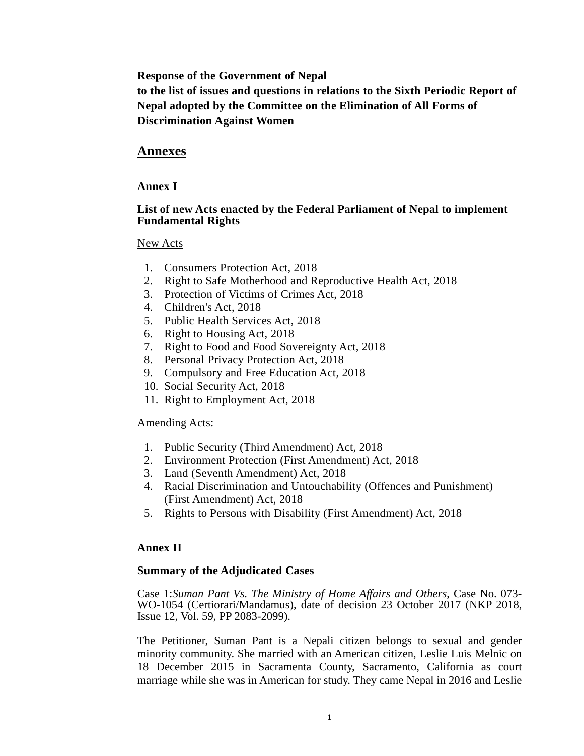**Response of the Government of Nepal**

**to the list of issues and questions in relations to the Sixth Periodic Report of Nepal adopted by the Committee on the Elimination of All Forms of Discrimination Against Women**

# **Annexes**

### **Annex I**

#### **List of new Acts enacted by the Federal Parliament of Nepal to implement Fundamental Rights**

#### New Acts

- 1. Consumers Protection Act, 2018
- 2. Right to Safe Motherhood and Reproductive Health Act, 2018
- 3. Protection of Victims of Crimes Act, 2018
- 4. Children's Act, 2018
- 5. Public Health Services Act, 2018
- 6. Right to Housing Act, 2018
- 7. Right to Food and Food Sovereignty Act, 2018
- 8. Personal Privacy Protection Act, 2018
- 9. Compulsory and Free Education Act, 2018
- 10. Social Security Act, 2018
- 11. Right to Employment Act, 2018

#### Amending Acts:

- 1. Public Security (Third Amendment) Act, 2018
- 2. Environment Protection (First Amendment) Act, 2018
- 3. Land (Seventh Amendment) Act, 2018
- 4. Racial Discrimination and Untouchability (Offences and Punishment) (First Amendment) Act, 2018
- 5. Rights to Persons with Disability (First Amendment) Act, 2018

### **Annex II**

#### **Summary of the Adjudicated Cases**

Case 1:*Suman Pant Vs. The Ministry of Home Affairs and Others*, Case No. 073- WO-1054 (Certiorari/Mandamus), date of decision 23 October 2017 (NKP 2018, Issue 12, Vol. 59, PP 2083-2099).

The Petitioner, Suman Pant is a Nepali citizen belongs to sexual and gender minority community. She married with an American citizen, Leslie Luis Melnic on 18 December 2015 in Sacramenta County, Sacramento, California as court marriage while she was in American for study. They came Nepal in 2016 and Leslie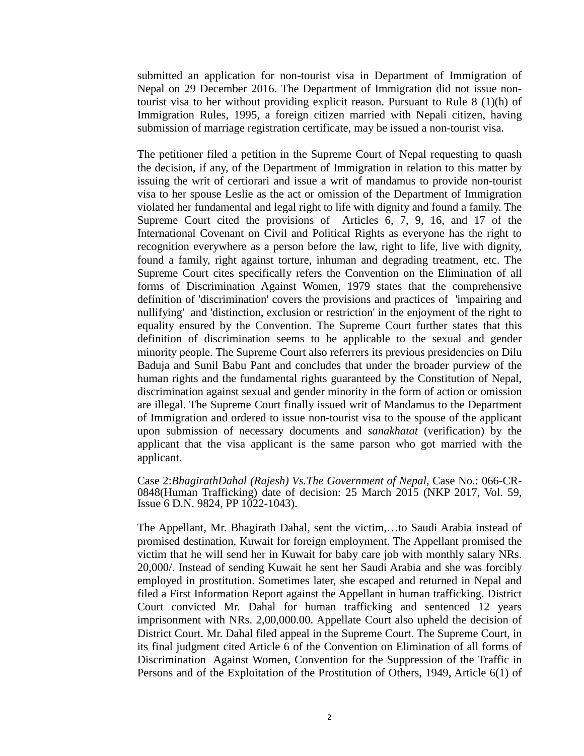submitted an application for non-tourist visa in Department of Immigration of Nepal on 29 December 2016. The Department of Immigration did not issue nontourist visa to her without providing explicit reason. Pursuant to Rule 8 (1)(h) of Immigration Rules, 1995, a foreign citizen married with Nepali citizen, having submission of marriage registration certificate, may be issued a non-tourist visa.

The petitioner filed a petition in the Supreme Court of Nepal requesting to quash the decision, if any, of the Department of Immigration in relation to this matter by issuing the writ of certiorari and issue a writ of mandamus to provide non-tourist visa to her spouse Leslie as the act or omission of the Department of Immigration violated her fundamental and legal right to life with dignity and found a family. The Supreme Court cited the provisions of Articles 6, 7, 9, 16, and 17 of the International Covenant on Civil and Political Rights as everyone has the right to recognition everywhere as a person before the law, right to life, live with dignity, found a family, right against torture, inhuman and degrading treatment, etc. The Supreme Court cites specifically refers the Convention on the Elimination of all forms of Discrimination Against Women, 1979 states that the comprehensive definition of 'discrimination' covers the provisions and practices of 'impairing and nullifying' and 'distinction, exclusion or restriction' in the enjoyment of the right to equality ensured by the Convention. The Supreme Court further states that this definition of discrimination seems to be applicable to the sexual and gender minority people. The Supreme Court also referrers its previous presidencies on Dilu Baduja and Sunil Babu Pant and concludes that under the broader purview of the human rights and the fundamental rights guaranteed by the Constitution of Nepal, discrimination against sexual and gender minority in the form of action or omission are illegal. The Supreme Court finally issued writ of Mandamus to the Department of Immigration and ordered to issue non-tourist visa to the spouse of the applicant upon submission of necessary documents and *sanakhatat* (verification) by the applicant that the visa applicant is the same parson who got married with the applicant.

Case 2:*BhagirathDahal (Rajesh) Vs.The Government of Nepal*, Case No.: 066-CR-0848(Human Trafficking) date of decision: 25 March 2015 (NKP 2017, Vol. 59, Issue 6 D.N. 9824, PP 1022-1043).

The Appellant, Mr. Bhagirath Dahal, sent the victim,…to Saudi Arabia instead of promised destination, Kuwait for foreign employment. The Appellant promised the victim that he will send her in Kuwait for baby care job with monthly salary NRs. 20,000/. Instead of sending Kuwait he sent her Saudi Arabia and she was forcibly employed in prostitution. Sometimes later, she escaped and returned in Nepal and filed a First Information Report against the Appellant in human trafficking. District Court convicted Mr. Dahal for human trafficking and sentenced 12 years imprisonment with NRs. 2,00,000.00. Appellate Court also upheld the decision of District Court. Mr. Dahal filed appeal in the Supreme Court. The Supreme Court, in its final judgment cited Article 6 of the Convention on Elimination of all forms of Discrimination Against Women, Convention for the Suppression of the Traffic in Persons and of the Exploitation of the Prostitution of Others, 1949, Article 6(1) of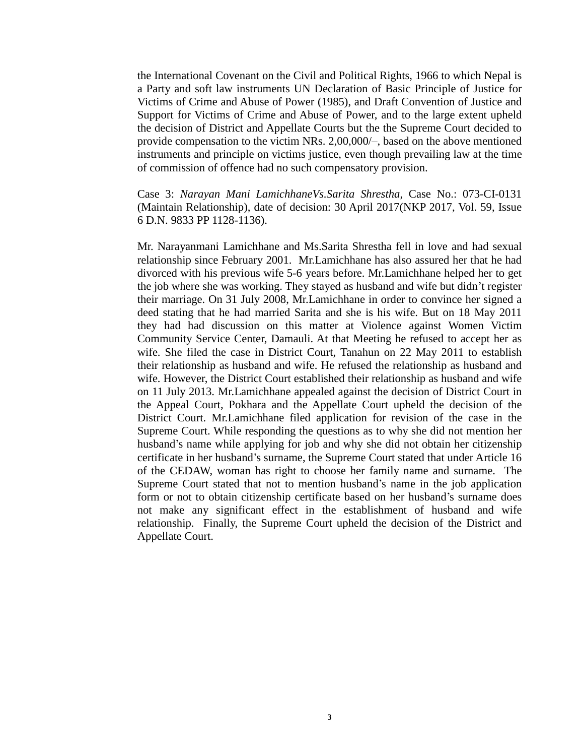the International Covenant on the Civil and Political Rights, 1966 to which Nepal is a Party and soft law instruments UN Declaration of Basic Principle of Justice for Victims of Crime and Abuse of Power (1985), and Draft Convention of Justice and Support for Victims of Crime and Abuse of Power, and to the large extent upheld the decision of District and Appellate Courts but the the Supreme Court decided to provide compensation to the victim NRs. 2,00,000/–, based on the above mentioned instruments and principle on victims justice, even though prevailing law at the time of commission of offence had no such compensatory provision.

Case 3: *Narayan Mani LamichhaneVs.Sarita Shrestha*, Case No.: 073-CI-0131 (Maintain Relationship), date of decision: 30 April 2017(NKP 2017, Vol. 59, Issue 6 D.N. 9833 PP 1128-1136).

Mr. Narayanmani Lamichhane and Ms.Sarita Shrestha fell in love and had sexual relationship since February 2001. Mr.Lamichhane has also assured her that he had divorced with his previous wife 5-6 years before. Mr.Lamichhane helped her to get the job where she was working. They stayed as husband and wife but didn't register their marriage. On 31 July 2008, Mr.Lamichhane in order to convince her signed a deed stating that he had married Sarita and she is his wife. But on 18 May 2011 they had had discussion on this matter at Violence against Women Victim Community Service Center, Damauli. At that Meeting he refused to accept her as wife. She filed the case in District Court, Tanahun on 22 May 2011 to establish their relationship as husband and wife. He refused the relationship as husband and wife. However, the District Court established their relationship as husband and wife on 11 July 2013. Mr.Lamichhane appealed against the decision of District Court in the Appeal Court, Pokhara and the Appellate Court upheld the decision of the District Court. Mr.Lamichhane filed application for revision of the case in the Supreme Court. While responding the questions as to why she did not mention her husband's name while applying for job and why she did not obtain her citizenship certificate in her husband's surname, the Supreme Court stated that under Article 16 of the CEDAW, woman has right to choose her family name and surname. The Supreme Court stated that not to mention husband's name in the job application form or not to obtain citizenship certificate based on her husband's surname does not make any significant effect in the establishment of husband and wife relationship. Finally, the Supreme Court upheld the decision of the District and Appellate Court.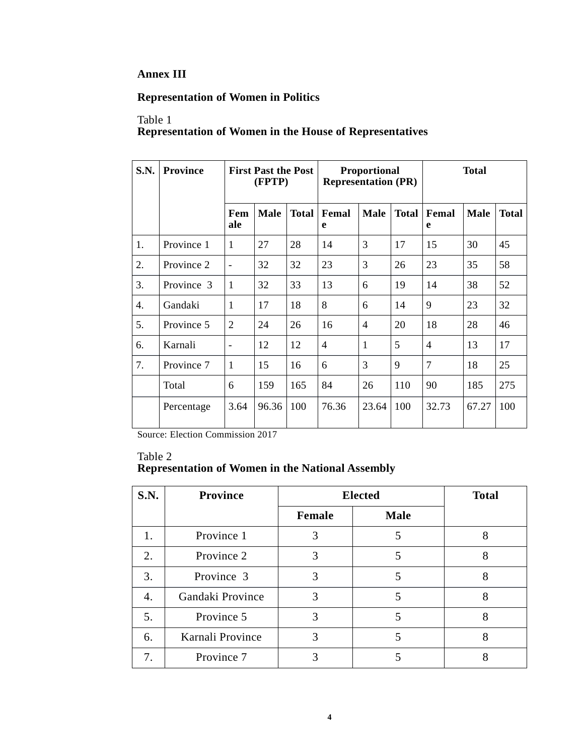### **Annex III**

# **Representation of Women in Politics**

#### Table 1 **Representation of Women in the House of Representatives**

| S.N. | <b>Province</b> | <b>First Past the Post</b><br>(FPTP) |             |              | <b>Proportional</b><br><b>Representation (PR)</b> |                |              | <b>Total</b>   |             |              |
|------|-----------------|--------------------------------------|-------------|--------------|---------------------------------------------------|----------------|--------------|----------------|-------------|--------------|
|      |                 | Fem<br>ale                           | <b>Male</b> | <b>Total</b> | Femal<br>e                                        | <b>Male</b>    | <b>Total</b> | Femal<br>e     | <b>Male</b> | <b>Total</b> |
| 1.   | Province 1      | $\mathbf{1}$                         | 27          | 28           | 14                                                | 3              | 17           | 15             | 30          | 45           |
| 2.   | Province 2      | $\overline{a}$                       | 32          | 32           | 23                                                | 3              | 26           | 23             | 35          | 58           |
| 3.   | Province 3      | 1                                    | 32          | 33           | 13                                                | 6              | 19           | 14             | 38          | 52           |
| 4.   | Gandaki         | 1                                    | 17          | 18           | 8                                                 | 6              | 14           | 9              | 23          | 32           |
| 5.   | Province 5      | $\overline{2}$                       | 24          | 26           | 16                                                | $\overline{4}$ | 20           | 18             | 28          | 46           |
| 6.   | Karnali         | $\overline{a}$                       | 12          | 12           | $\overline{4}$                                    | $\mathbf{1}$   | 5            | 4              | 13          | 17           |
| 7.   | Province 7      | 1                                    | 15          | 16           | 6                                                 | 3              | 9            | $\overline{7}$ | 18          | 25           |
|      | Total           | 6                                    | 159         | 165          | 84                                                | 26             | 110          | 90             | 185         | 275          |
|      | Percentage      | 3.64                                 | 96.36       | 100          | 76.36                                             | 23.64          | 100          | 32.73          | 67.27       | 100          |

Source: Election Commission 2017

#### Table 2 **Representation of Women in the National Assembly**

| <b>S.N.</b> | <b>Province</b>  | <b>Elected</b> | <b>Total</b> |   |
|-------------|------------------|----------------|--------------|---|
|             |                  | Female         | <b>Male</b>  |   |
| 1.          | Province 1       | 3              |              | 8 |
| 2.          | Province 2       | 3              | 5            | 8 |
| 3.          | Province 3       | 3              | 5            | 8 |
| 4.          | Gandaki Province | 3              | 5            | 8 |
| 5.          | Province 5       | 3              | 5            | 8 |
| 6.          | Karnali Province | 3              |              | 8 |
| 7.          | Province 7       |                |              |   |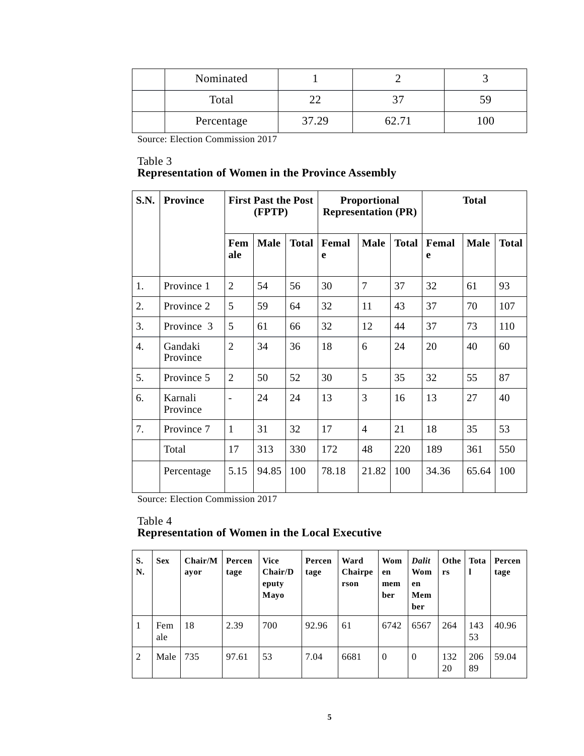| Nominated  |       |  |
|------------|-------|--|
| Total      |       |  |
| Percentage | 37.29 |  |

Source: Election Commission 2017

#### Table 3 **Representation of Women in the Province Assembly**

| S.N. | <b>Province</b>     |                          | <b>First Past the Post</b><br>(FPTP) |              | <b>Representation (PR)</b> | Proportional   |              | <b>Total</b> |             |              |
|------|---------------------|--------------------------|--------------------------------------|--------------|----------------------------|----------------|--------------|--------------|-------------|--------------|
|      |                     | Fem<br>ale               | <b>Male</b>                          | <b>Total</b> | Femal<br>e                 | <b>Male</b>    | <b>Total</b> | Femal<br>e   | <b>Male</b> | <b>Total</b> |
| 1.   | Province 1          | $\overline{2}$           | 54                                   | 56           | 30                         | $\overline{7}$ | 37           | 32           | 61          | 93           |
| 2.   | Province 2          | 5                        | 59                                   | 64           | 32                         | 11             | 43           | 37           | 70          | 107          |
| 3.   | Province 3          | 5                        | 61                                   | 66           | 32                         | 12             | 44           | 37           | 73          | 110          |
| 4.   | Gandaki<br>Province | $\overline{2}$           | 34                                   | 36           | 18                         | 6              | 24           | 20           | 40          | 60           |
| 5.   | Province 5          | 2                        | 50                                   | 52           | 30                         | 5              | 35           | 32           | 55          | 87           |
| 6.   | Karnali<br>Province | $\overline{\phantom{m}}$ | 24                                   | 24           | 13                         | 3              | 16           | 13           | 27          | 40           |
| 7.   | Province 7          | $\mathbf{1}$             | 31                                   | 32           | 17                         | $\overline{4}$ | 21           | 18           | 35          | 53           |
|      | Total               | 17                       | 313                                  | 330          | 172                        | 48             | 220          | 189          | 361         | 550          |
|      | Percentage          | 5.15                     | 94.85                                | 100          | 78.18                      | 21.82          | 100          | 34.36        | 65.64       | 100          |

Source: Election Commission 2017

#### Table 4 **Representation of Women in the Local Executive**

| S.<br>N. | <b>Sex</b> | Chair/M<br>ayor | Percen<br>tage | <b>Vice</b><br>Chair/D<br>eputy<br>Mayo | Percen<br>tage | Ward<br>Chairpe<br>rson | Wom<br>en<br>mem<br>ber | Dalit<br>Wom<br>en<br>Mem<br>ber | Othe  <br>rs | Tota<br>1 | Percen<br>tage |
|----------|------------|-----------------|----------------|-----------------------------------------|----------------|-------------------------|-------------------------|----------------------------------|--------------|-----------|----------------|
| -1       | Fem<br>ale | 18              | 2.39           | 700                                     | 92.96          | 61                      | 6742                    | 6567                             | 264          | 143<br>53 | 40.96          |
| 2        | Male       | 735             | 97.61          | 53                                      | 7.04           | 6681                    | $\overline{0}$          | $\theta$                         | 132<br>20    | 206<br>89 | 59.04          |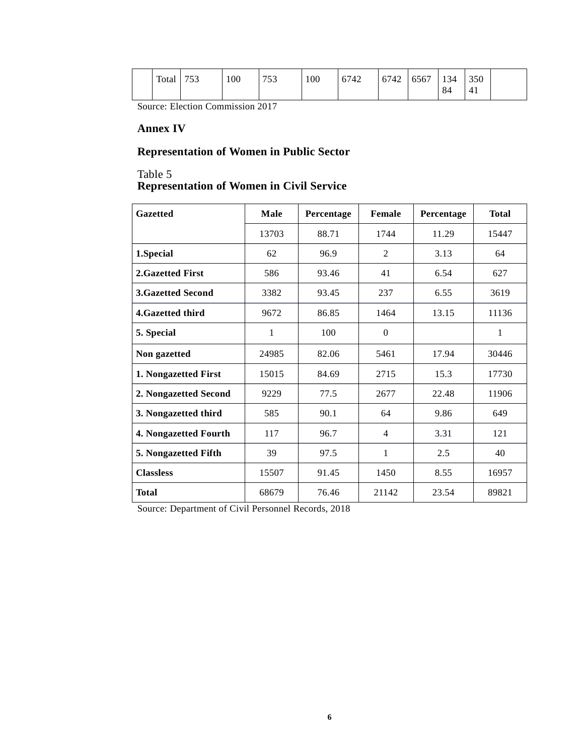| Total | 752<br>ັບ | 100 | 752<br>' J J | 100 | 6742 | 6742 | 6567 | 134 | 350            |  |
|-------|-----------|-----|--------------|-----|------|------|------|-----|----------------|--|
|       |           |     |              |     |      |      |      | 84  | 4 <sub>1</sub> |  |

Source: Election Commission 2017

#### **Annex IV**

# **Representation of Women in Public Sector**

#### Table 5 **Representation of Women in Civil Service**

| <b>Gazetted</b>          | <b>Male</b> | Percentage | Female         | Percentage | <b>Total</b> |
|--------------------------|-------------|------------|----------------|------------|--------------|
|                          | 13703       | 88.71      | 1744           | 11.29      | 15447        |
| 1.Special                | 62          | 96.9       | $\overline{c}$ | 3.13       | 64           |
| 2.Gazetted First         | 586         | 93.46      | 41             | 6.54       | 627          |
| <b>3.Gazetted Second</b> | 3382        | 93.45      | 237            | 6.55       | 3619         |
| 4. Gazetted third        | 9672        | 86.85      | 1464           | 13.15      | 11136        |
| 5. Special               | 1           | 100        | $\mathbf{0}$   |            | $\mathbf{1}$ |
| Non gazetted             | 24985       | 82.06      | 5461           | 17.94      | 30446        |
| 1. Nongazetted First     | 15015       | 84.69      | 2715           | 15.3       | 17730        |
| 2. Nongazetted Second    | 9229        | 77.5       | 2677           | 22.48      | 11906        |
| 3. Nongazetted third     | 585         | 90.1       | 64             | 9.86       | 649          |
| 4. Nongazetted Fourth    | 117         | 96.7       | 4              | 3.31       | 121          |
| 5. Nongazetted Fifth     | 39          | 97.5       | $\mathbf{1}$   | 2.5        | 40           |
| <b>Classless</b>         | 15507       | 91.45      | 1450           | 8.55       | 16957        |
| Total                    | 68679       | 76.46      | 21142          | 23.54      | 89821        |

Source: Department of Civil Personnel Records, 2018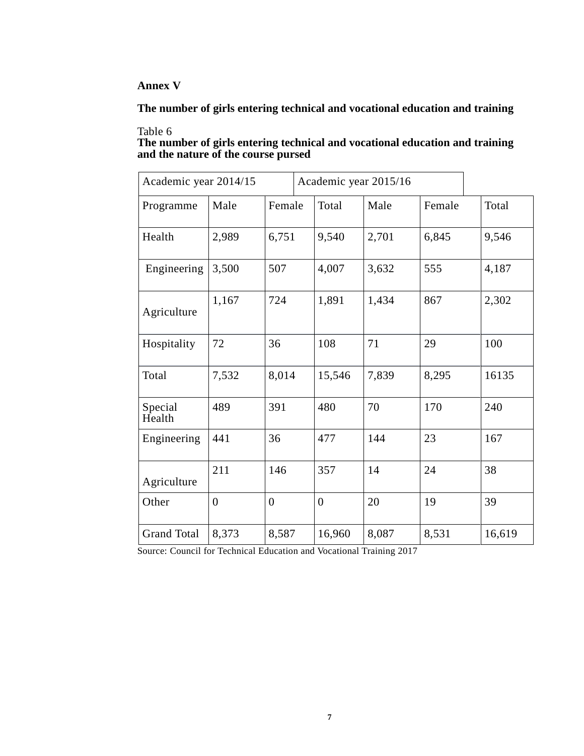# **Annex V**

**The number of girls entering technical and vocational education and training**

# Table 6

| The number of girls entering technical and vocational education and training |  |
|------------------------------------------------------------------------------|--|
| and the nature of the course pursed                                          |  |

| Academic year 2014/15 |                |                | Academic year 2015/16 |       |        |        |
|-----------------------|----------------|----------------|-----------------------|-------|--------|--------|
| Programme             | Male           | Female         | Total                 | Male  | Female | Total  |
| Health                | 2,989          | 6,751          | 9,540                 | 2,701 | 6,845  | 9,546  |
| Engineering           | 3,500          | 507            | 4,007                 | 3,632 | 555    | 4,187  |
| Agriculture           | 1,167          | 724            | 1,891                 | 1,434 | 867    | 2,302  |
| Hospitality           | 72             | 36             | 108                   | 71    | 29     | 100    |
| Total                 | 7,532          | 8,014          | 15,546                | 7,839 | 8,295  | 16135  |
| Special<br>Health     | 489            | 391            | 480                   | 70    | 170    | 240    |
| Engineering           | 441            | 36             | 477                   | 144   | 23     | 167    |
| Agriculture           | 211            | 146            | 357                   | 14    | 24     | 38     |
| Other                 | $\overline{0}$ | $\overline{0}$ | $\overline{0}$        | 20    | 19     | 39     |
| <b>Grand Total</b>    | 8,373          | 8,587          | 16,960                | 8,087 | 8,531  | 16,619 |

Source: Council for Technical Education and Vocational Training 2017